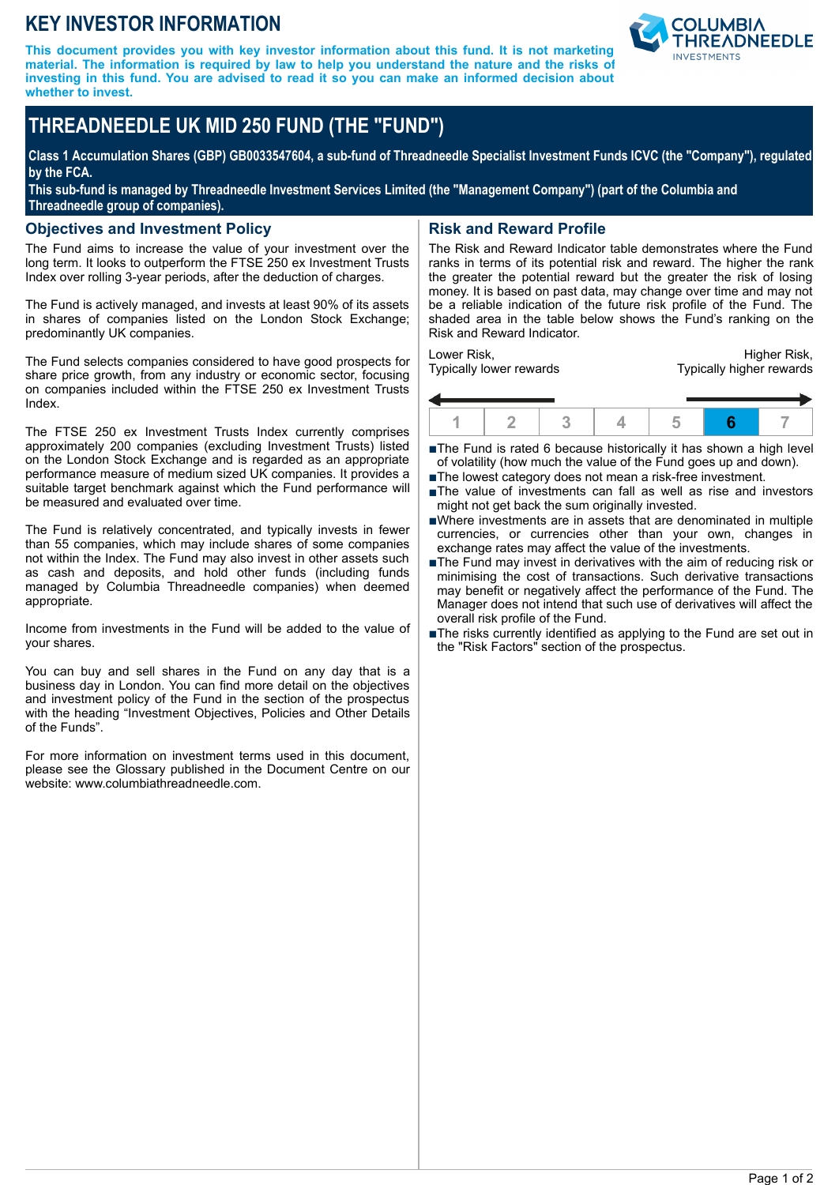# **KEY INVESTOR INFORMATION**

**This document provides you with key investor information about this fund. It is not marketing material. The information is required by law to help you understand the nature and the risks of investing in this fund. You are advised to read it so you can make an informed decision about whether to invest.**



# **THREADNEEDLE UK MID 250 FUND (THE "FUND")**

**Class 1 Accumulation Shares (GBP) GB0033547604, a sub-fund of Threadneedle Specialist Investment Funds ICVC (the "Company"), regulated by the FCA.**

**This sub-fund is managed by Threadneedle Investment Services Limited (the "Management Company") (part of the Columbia and Threadneedle group of companies).**

#### **Objectives and Investment Policy**

The Fund aims to increase the value of your investment over the long term. It looks to outperform the FTSE 250 ex Investment Trusts Index over rolling 3-year periods, after the deduction of charges.

The Fund is actively managed, and invests at least 90% of its assets in shares of companies listed on the London Stock Exchange; predominantly UK companies.

The Fund selects companies considered to have good prospects for share price growth, from any industry or economic sector, focusing on companies included within the FTSE 250 ex Investment Trusts Index.

The FTSE 250 ex Investment Trusts Index currently comprises approximately 200 companies (excluding Investment Trusts) listed on the London Stock Exchange and is regarded as an appropriate performance measure of medium sized UK companies. It provides a suitable target benchmark against which the Fund performance will be measured and evaluated over time.

The Fund is relatively concentrated, and typically invests in fewer than 55 companies, which may include shares of some companies not within the Index. The Fund may also invest in other assets such as cash and deposits, and hold other funds (including funds managed by Columbia Threadneedle companies) when deemed appropriate.

Income from investments in the Fund will be added to the value of your shares.

You can buy and sell shares in the Fund on any day that is a business day in London. You can find more detail on the objectives and investment policy of the Fund in the section of the prospectus with the heading "Investment Objectives, Policies and Other Details of the Funds".

For more information on investment terms used in this document, please see the Glossary published in the Document Centre on our website: www.columbiathreadneedle.com.

### **Risk and Reward Profile**

The Risk and Reward Indicator table demonstrates where the Fund ranks in terms of its potential risk and reward. The higher the rank the greater the potential reward but the greater the risk of losing money. It is based on past data, may change over time and may not be a reliable indication of the future risk profile of the Fund. The shaded area in the table below shows the Fund's ranking on the Risk and Reward Indicator.

Lower Risk, Typically lower rewards

Higher Risk, Typically higher rewards



■The Fund is rated 6 because historically it has shown a high level of volatility (how much the value of the Fund goes up and down).

- ■The lowest category does not mean a risk-free investment.
- nThe value of investments can fall as well as rise and investors might not get back the sum originally invested.
- nWhere investments are in assets that are denominated in multiple currencies, or currencies other than your own, changes in exchange rates may affect the value of the investments.
- ■The Fund may invest in derivatives with the aim of reducing risk or minimising the cost of transactions. Such derivative transactions may benefit or negatively affect the performance of the Fund. The Manager does not intend that such use of derivatives will affect the overall risk profile of the Fund.
- The risks currently identified as applying to the Fund are set out in the "Risk Factors" section of the prospectus.